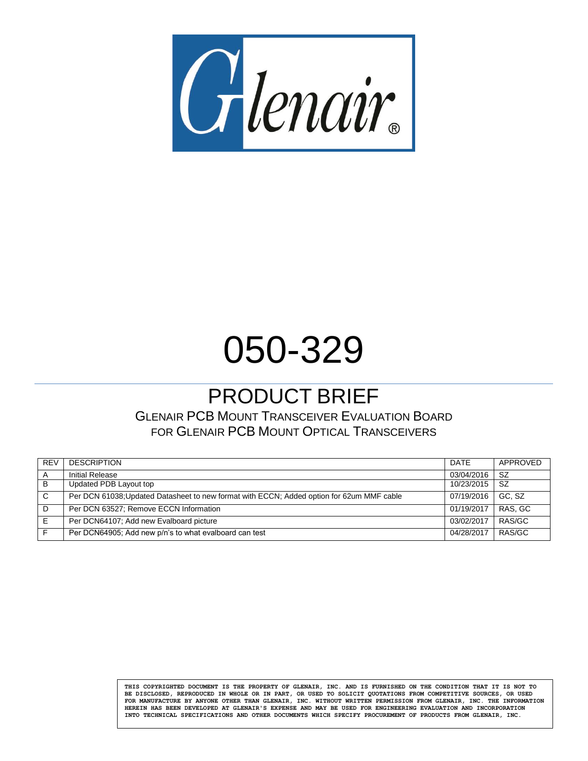

# 050-329

## PRODUCT BRIEF

GLENAIR PCB MOUNT TRANSCEIVER EVALUATION BOARD FOR GLENAIR PCB MOUNT OPTICAL TRANSCEIVERS

| <b>REV</b> | <b>DESCRIPTION</b>                                                                        | DATE       | APPROVED  |
|------------|-------------------------------------------------------------------------------------------|------------|-----------|
|            | <b>Initial Release</b>                                                                    | 03/04/2016 | -SZ       |
| B          | Updated PDB Layout top                                                                    | 10/23/2015 | <b>SZ</b> |
| C          | Per DCN 61038; Updated Datasheet to new format with ECCN; Added option for 62um MMF cable | 07/19/2016 | GC. SZ    |
| D          | Per DCN 63527; Remove ECCN Information                                                    | 01/19/2017 | RAS, GC   |
| E          | Per DCN64107; Add new Evalboard picture                                                   | 03/02/2017 | RAS/GC    |
|            | Per DCN64905; Add new p/n's to what evalboard can test                                    | 04/28/2017 | RAS/GC    |

**THIS COPYRIGHTED DOCUMENT IS THE PROPERTY OF GLENAIR, INC. AND IS FURNISHED ON THE CONDITION THAT IT IS NOT TO BE DISCLOSED, REPRODUCED IN WHOLE OR IN PART, OR USED TO SOLICIT QUOTATIONS FROM COMPETITIVE SOURCES, OR USED FOR MANUFACTURE BY ANYONE OTHER THAN GLENAIR, INC. WITHOUT WRITTEN PERMISSION FROM GLENAIR, INC. THE INFORMATION HEREIN HAS BEEN DEVELOPED AT GLENAIR'S EXPENSE AND MAY BE USED FOR ENGINEERING EVALUATION AND INCORPORATION INTO TECHNICAL SPECIFICATIONS AND OTHER DOCUMENTS WHICH SPECIFY PROCUREMENT OF PRODUCTS FROM GLENAIR, INC.**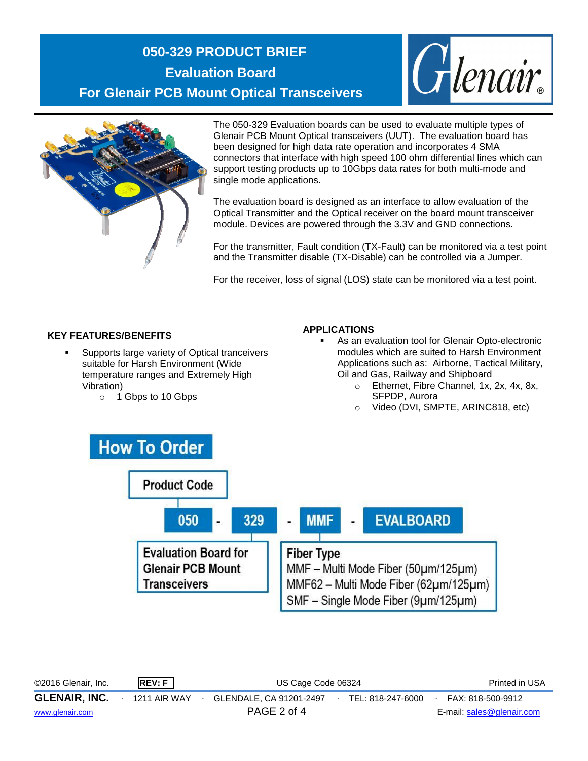## **050-329 PRODUCT BRIEF Evaluation Board For Glenair PCB Mount Optical Transceivers**





The 050-329 Evaluation boards can be used to evaluate multiple types of Glenair PCB Mount Optical transceivers (UUT). The evaluation board has been designed for high data rate operation and incorporates 4 SMA connectors that interface with high speed 100 ohm differential lines which can support testing products up to 10Gbps data rates for both multi-mode and single mode applications.

The evaluation board is designed as an interface to allow evaluation of the Optical Transmitter and the Optical receiver on the board mount transceiver module. Devices are powered through the 3.3V and GND connections.

For the transmitter, Fault condition (TX-Fault) can be monitored via a test point and the Transmitter disable (TX-Disable) can be controlled via a Jumper.

For the receiver, loss of signal (LOS) state can be monitored via a test point.

#### **KEY FEATURES/BENEFITS**

- Supports large variety of Optical tranceivers suitable for Harsh Environment (Wide temperature ranges and Extremely High Vibration)
	- o 1 Gbps to 10 Gbps

#### **APPLICATIONS**

- As an evaluation tool for Glenair Opto-electronic modules which are suited to Harsh Environment Applications such as: Airborne, Tactical Military, Oil and Gas, Railway and Shipboard
	- o Ethernet, Fibre Channel, 1x, 2x, 4x, 8x, SFPDP, Aurora
	- Video (DVI, SMPTE, ARINC818, etc)



©2016 Glenair, Inc. **REV: F** US Cage Code 06324 Printed in USA **GLENAIR, INC.** ∙ 1211 AIR WAY ∙ GLENDALE, CA 91201-2497∙ TEL: 818-247-6000∙ FAX: 818-500-9912 [www.glenair.com](http://www.glenair.com/) PAGE 2 of 4 E-mail: [sales@glenair.com](mailto:sales@glenair.com)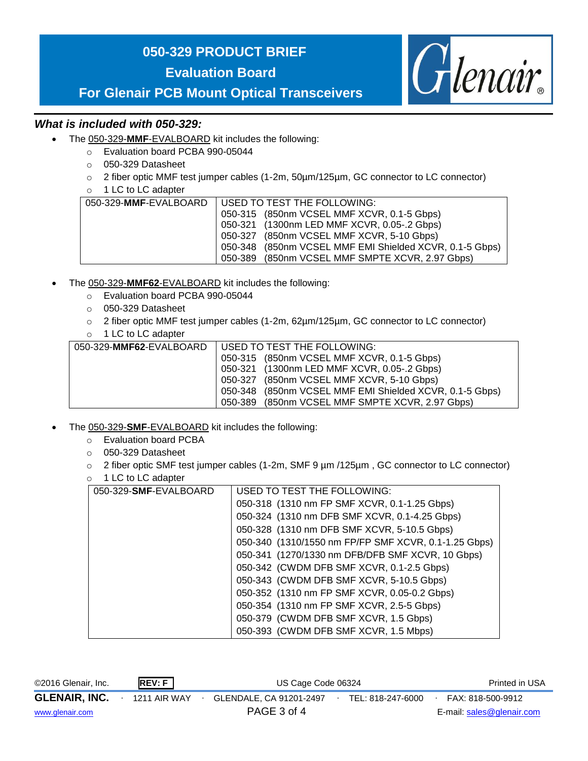### **050-329 PRODUCT BRIEF**

**Evaluation Board**



**For Glenair PCB Mount Optical Transceivers**

#### *What is included with 050-329:*

- The 050-329-**MMF**-EVALBOARD kit includes the following:
	- o Evaluation board PCBA 990-05044
	- o 050-329 Datasheet
	- o 2 fiber optic MMF test jumper cables (1-2m, 50µm/125µm, GC connector to LC connector)
	- o 1 LC to LC adapter

| 050-329-MMF-EVALBOARD | USED TO TEST THE FOLLOWING:                             |
|-----------------------|---------------------------------------------------------|
|                       | 050-315 (850nm VCSEL MMF XCVR, 0.1-5 Gbps)              |
|                       | 050-321 (1300nm LED MMF XCVR, 0.05-.2 Gbps)             |
|                       | 050-327 (850nm VCSEL MMF XCVR, 5-10 Gbps)               |
|                       | 050-348 (850nm VCSEL MMF EMI Shielded XCVR, 0.1-5 Gbps) |
|                       | 050-389 (850nm VCSEL MMF SMPTE XCVR, 2.97 Gbps)         |

- The 050-329-**MMF62**-EVALBOARD kit includes the following:
	- o Evaluation board PCBA 990-05044
	- o 050-329 Datasheet
	- $\circ$  2 fiber optic MMF test jumper cables (1-2m, 62µm/125µm, GC connector to LC connector)
	- o 1 LC to LC adapter

| 050-329-MMF62-EVALBOARD   USED TO TEST THE FOLLOWING:   |
|---------------------------------------------------------|
| 050-315 (850nm VCSEL MMF XCVR, 0.1-5 Gbps)              |
| 050-321 (1300nm LED MMF XCVR, 0.05-.2 Gbps)             |
| 050-327 (850nm VCSEL MMF XCVR, 5-10 Gbps)               |
| 050-348 (850nm VCSEL MMF EMI Shielded XCVR, 0.1-5 Gbps) |
| 050-389 (850nm VCSEL MMF SMPTE XCVR, 2.97 Gbps)         |

- The 050-329-**SMF**-EVALBOARD kit includes the following:
	- o Evaluation board PCBA
	- o 050-329 Datasheet
	- o 2 fiber optic SMF test jumper cables (1-2m, SMF 9 µm /125µm , GC connector to LC connector)
	- o 1 LC to LC adapter

| 050-329-SMF-EVALBOARD | USED TO TEST THE FOLLOWING:                          |  |  |  |  |
|-----------------------|------------------------------------------------------|--|--|--|--|
|                       | 050-318 (1310 nm FP SMF XCVR, 0.1-1.25 Gbps)         |  |  |  |  |
|                       | 050-324 (1310 nm DFB SMF XCVR, 0.1-4.25 Gbps)        |  |  |  |  |
|                       | 050-328 (1310 nm DFB SMF XCVR, 5-10.5 Gbps)          |  |  |  |  |
|                       | 050-340 (1310/1550 nm FP/FP SMF XCVR, 0.1-1.25 Gbps) |  |  |  |  |
|                       | 050-341 (1270/1330 nm DFB/DFB SMF XCVR, 10 Gbps)     |  |  |  |  |
|                       | 050-342 (CWDM DFB SMF XCVR, 0.1-2.5 Gbps)            |  |  |  |  |
|                       | 050-343 (CWDM DFB SMF XCVR, 5-10.5 Gbps)             |  |  |  |  |
|                       | 050-352 (1310 nm FP SMF XCVR, 0.05-0.2 Gbps)         |  |  |  |  |
|                       | 050-354 (1310 nm FP SMF XCVR, 2.5-5 Gbps)            |  |  |  |  |
|                       | 050-379 (CWDM DFB SMF XCVR, 1.5 Gbps)                |  |  |  |  |
|                       | 050-393 (CWDM DFB SMF XCVR, 1.5 Mbps)                |  |  |  |  |

| ©2016 Glenair, Inc.  | REV: F       | US Cage Code 06324 |                         |  |                   | Printed in USA |                           |  |
|----------------------|--------------|--------------------|-------------------------|--|-------------------|----------------|---------------------------|--|
| <b>GLENAIR, INC.</b> | 1211 AIR WAY |                    | GLENDALE, CA 91201-2497 |  | TEL: 818-247-6000 |                | FAX: 818-500-9912         |  |
| www.glenair.com      |              |                    | PAGE 3 of 4             |  |                   |                | E-mail: sales@glenair.com |  |